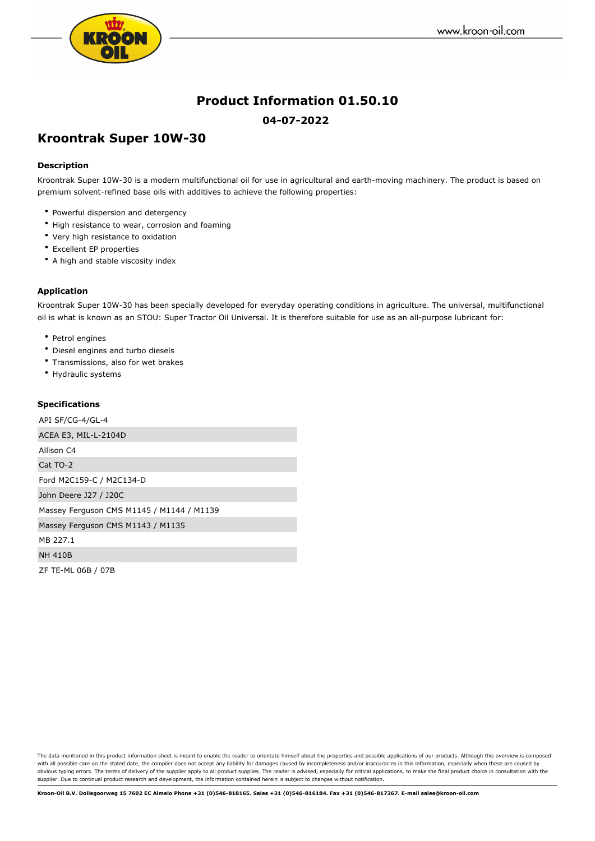

# **Product Information 01.50.10**

### **04-07-2022**

## **Kroontrak Super 10W-30**

#### **Description**

Kroontrak Super 10W-30 is a modern multifunctional oil for use in agricultural and earth-moving machinery. The product is based on premium solvent-refined base oils with additives to achieve the following properties:

- Powerful dispersion and detergency
- High resistance to wear, corrosion and foaming
- Very high resistance to oxidation
- Excellent EP properties
- A high and stable viscosity index

#### **Application**

Kroontrak Super 10W-30 has been specially developed for everyday operating conditions in agriculture. The universal, multifunctional oil is what is known as an STOU: Super Tractor Oil Universal. It is therefore suitable for use as an all-purpose lubricant for:

- Petrol engines
- Diesel engines and turbo diesels
- Transmissions, also for wet brakes
- Hydraulic systems

#### **Specifications**

API SF/CG-4/GL-4 ACEA E3, MIL-L-2104D Allison C4 Cat TO-2 Ford M2C159-C / M2C134-D John Deere J27 / J20C Massey Ferguson CMS M1145 / M1144 / M1139 Massey Ferguson CMS M1143 / M1135 MB 227.1 NH 410B ZF TE-ML 06B / 07B

The data mentioned in this product information sheet is meant to enable the reader to orientate himself about the properties and possible applications of our products. Although this overview is composed with all possible care on the stated date, the compiler does not accept any liability for damages caused by incompleteness and/or inaccuracies in this information, especially when these are caused by obvious typing errors. The terms of delivery of the supplier apply to all product supplies. The reader is advised, especially for critical applications, to make the final product choice in consultation with the supplier. Due to continual product research and development, the information contained herein is subject to changes without notification.